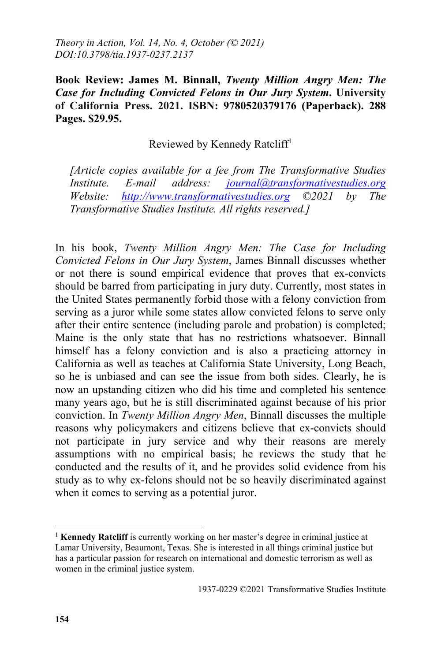**Book Review: James M. Binnall,** *Twenty Million Angry Men: The Case for Including Convicted Felons in Our Jury System***. University of California Press. 2021. ISBN: 9780520379176 (Paperback). 288 Pages. \$29.95.** 

Reviewed by Kennedy Ratcliff<sup>1</sup>

*[Article copies available for a fee from The Transformative Studies Institute. E-mail address: journal@transformativestudies.org Website: http://www.transformativestudies.org ©2021 by The Transformative Studies Institute. All rights reserved.]*

In his book, *Twenty Million Angry Men: The Case for Including Convicted Felons in Our Jury System*, James Binnall discusses whether or not there is sound empirical evidence that proves that ex-convicts should be barred from participating in jury duty. Currently, most states in the United States permanently forbid those with a felony conviction from serving as a juror while some states allow convicted felons to serve only after their entire sentence (including parole and probation) is completed; Maine is the only state that has no restrictions whatsoever. Binnall himself has a felony conviction and is also a practicing attorney in California as well as teaches at California State University, Long Beach, so he is unbiased and can see the issue from both sides. Clearly, he is now an upstanding citizen who did his time and completed his sentence many years ago, but he is still discriminated against because of his prior conviction. In *Twenty Million Angry Men*, Binnall discusses the multiple reasons why policymakers and citizens believe that ex-convicts should not participate in jury service and why their reasons are merely assumptions with no empirical basis; he reviews the study that he conducted and the results of it, and he provides solid evidence from his study as to why ex-felons should not be so heavily discriminated against when it comes to serving as a potential juror.

 $\overline{a}$ 

<sup>&</sup>lt;sup>1</sup> **Kennedy Ratcliff** is currently working on her master's degree in criminal justice at Lamar University, Beaumont, Texas. She is interested in all things criminal justice but has a particular passion for research on international and domestic terrorism as well as women in the criminal justice system.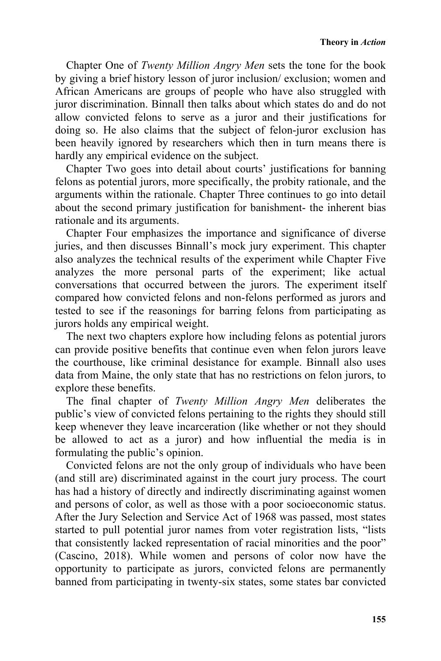Chapter One of *Twenty Million Angry Men* sets the tone for the book by giving a brief history lesson of juror inclusion/ exclusion; women and African Americans are groups of people who have also struggled with juror discrimination. Binnall then talks about which states do and do not allow convicted felons to serve as a juror and their justifications for doing so. He also claims that the subject of felon-juror exclusion has been heavily ignored by researchers which then in turn means there is hardly any empirical evidence on the subject.

Chapter Two goes into detail about courts' justifications for banning felons as potential jurors, more specifically, the probity rationale, and the arguments within the rationale. Chapter Three continues to go into detail about the second primary justification for banishment- the inherent bias rationale and its arguments.

Chapter Four emphasizes the importance and significance of diverse juries, and then discusses Binnall's mock jury experiment. This chapter also analyzes the technical results of the experiment while Chapter Five analyzes the more personal parts of the experiment; like actual conversations that occurred between the jurors. The experiment itself compared how convicted felons and non-felons performed as jurors and tested to see if the reasonings for barring felons from participating as jurors holds any empirical weight.

The next two chapters explore how including felons as potential jurors can provide positive benefits that continue even when felon jurors leave the courthouse, like criminal desistance for example. Binnall also uses data from Maine, the only state that has no restrictions on felon jurors, to explore these benefits.

The final chapter of *Twenty Million Angry Men* deliberates the public's view of convicted felons pertaining to the rights they should still keep whenever they leave incarceration (like whether or not they should be allowed to act as a juror) and how influential the media is in formulating the public's opinion.

Convicted felons are not the only group of individuals who have been (and still are) discriminated against in the court jury process. The court has had a history of directly and indirectly discriminating against women and persons of color, as well as those with a poor socioeconomic status. After the Jury Selection and Service Act of 1968 was passed, most states started to pull potential juror names from voter registration lists, "lists that consistently lacked representation of racial minorities and the poor" (Cascino, 2018). While women and persons of color now have the opportunity to participate as jurors, convicted felons are permanently banned from participating in twenty-six states, some states bar convicted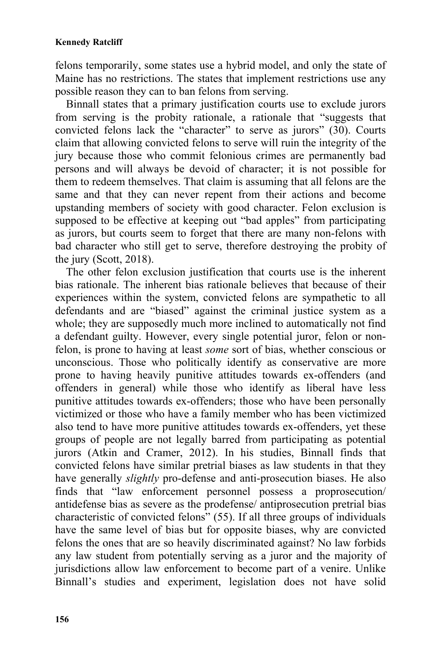felons temporarily, some states use a hybrid model, and only the state of Maine has no restrictions. The states that implement restrictions use any possible reason they can to ban felons from serving.

Binnall states that a primary justification courts use to exclude jurors from serving is the probity rationale, a rationale that "suggests that convicted felons lack the "character" to serve as jurors" (30). Courts claim that allowing convicted felons to serve will ruin the integrity of the jury because those who commit felonious crimes are permanently bad persons and will always be devoid of character; it is not possible for them to redeem themselves. That claim is assuming that all felons are the same and that they can never repent from their actions and become upstanding members of society with good character. Felon exclusion is supposed to be effective at keeping out "bad apples" from participating as jurors, but courts seem to forget that there are many non-felons with bad character who still get to serve, therefore destroying the probity of the jury (Scott, 2018).

The other felon exclusion justification that courts use is the inherent bias rationale. The inherent bias rationale believes that because of their experiences within the system, convicted felons are sympathetic to all defendants and are "biased" against the criminal justice system as a whole; they are supposedly much more inclined to automatically not find a defendant guilty. However, every single potential juror, felon or nonfelon, is prone to having at least *some* sort of bias, whether conscious or unconscious. Those who politically identify as conservative are more prone to having heavily punitive attitudes towards ex-offenders (and offenders in general) while those who identify as liberal have less punitive attitudes towards ex-offenders; those who have been personally victimized or those who have a family member who has been victimized also tend to have more punitive attitudes towards ex-offenders, yet these groups of people are not legally barred from participating as potential jurors (Atkin and Cramer, 2012). In his studies, Binnall finds that convicted felons have similar pretrial biases as law students in that they have generally *slightly* pro-defense and anti-prosecution biases. He also finds that "law enforcement personnel possess a proprosecution/ antidefense bias as severe as the prodefense/ antiprosecution pretrial bias characteristic of convicted felons" (55). If all three groups of individuals have the same level of bias but for opposite biases, why are convicted felons the ones that are so heavily discriminated against? No law forbids any law student from potentially serving as a juror and the majority of jurisdictions allow law enforcement to become part of a venire. Unlike Binnall's studies and experiment, legislation does not have solid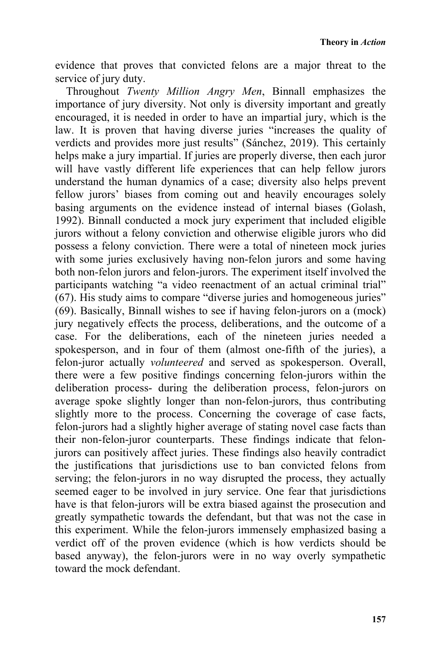evidence that proves that convicted felons are a major threat to the service of jury duty.

Throughout *Twenty Million Angry Men*, Binnall emphasizes the importance of jury diversity. Not only is diversity important and greatly encouraged, it is needed in order to have an impartial jury, which is the law. It is proven that having diverse juries "increases the quality of verdicts and provides more just results" (Sánchez, 2019). This certainly helps make a jury impartial. If juries are properly diverse, then each juror will have vastly different life experiences that can help fellow jurors understand the human dynamics of a case; diversity also helps prevent fellow jurors' biases from coming out and heavily encourages solely basing arguments on the evidence instead of internal biases (Golash, 1992). Binnall conducted a mock jury experiment that included eligible jurors without a felony conviction and otherwise eligible jurors who did possess a felony conviction. There were a total of nineteen mock juries with some juries exclusively having non-felon jurors and some having both non-felon jurors and felon-jurors. The experiment itself involved the participants watching "a video reenactment of an actual criminal trial" (67). His study aims to compare "diverse juries and homogeneous juries" (69). Basically, Binnall wishes to see if having felon-jurors on a (mock) jury negatively effects the process, deliberations, and the outcome of a case. For the deliberations, each of the nineteen juries needed a spokesperson, and in four of them (almost one-fifth of the juries), a felon-juror actually *volunteered* and served as spokesperson. Overall, there were a few positive findings concerning felon-jurors within the deliberation process- during the deliberation process, felon-jurors on average spoke slightly longer than non-felon-jurors, thus contributing slightly more to the process. Concerning the coverage of case facts, felon-jurors had a slightly higher average of stating novel case facts than their non-felon-juror counterparts. These findings indicate that felonjurors can positively affect juries. These findings also heavily contradict the justifications that jurisdictions use to ban convicted felons from serving; the felon-jurors in no way disrupted the process, they actually seemed eager to be involved in jury service. One fear that jurisdictions have is that felon-jurors will be extra biased against the prosecution and greatly sympathetic towards the defendant, but that was not the case in this experiment. While the felon-jurors immensely emphasized basing a verdict off of the proven evidence (which is how verdicts should be based anyway), the felon-jurors were in no way overly sympathetic toward the mock defendant.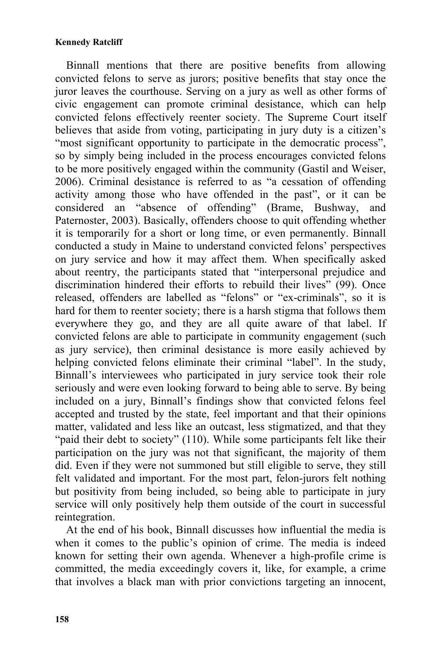## **Kennedy Ratcliff**

Binnall mentions that there are positive benefits from allowing convicted felons to serve as jurors; positive benefits that stay once the juror leaves the courthouse. Serving on a jury as well as other forms of civic engagement can promote criminal desistance, which can help convicted felons effectively reenter society. The Supreme Court itself believes that aside from voting, participating in jury duty is a citizen's "most significant opportunity to participate in the democratic process", so by simply being included in the process encourages convicted felons to be more positively engaged within the community (Gastil and Weiser, 2006). Criminal desistance is referred to as "a cessation of offending activity among those who have offended in the past", or it can be considered an "absence of offending" (Brame, Bushway, and Paternoster, 2003). Basically, offenders choose to quit offending whether it is temporarily for a short or long time, or even permanently. Binnall conducted a study in Maine to understand convicted felons' perspectives on jury service and how it may affect them. When specifically asked about reentry, the participants stated that "interpersonal prejudice and discrimination hindered their efforts to rebuild their lives" (99). Once released, offenders are labelled as "felons" or "ex-criminals", so it is hard for them to reenter society; there is a harsh stigma that follows them everywhere they go, and they are all quite aware of that label. If convicted felons are able to participate in community engagement (such as jury service), then criminal desistance is more easily achieved by helping convicted felons eliminate their criminal "label". In the study, Binnall's interviewees who participated in jury service took their role seriously and were even looking forward to being able to serve. By being included on a jury, Binnall's findings show that convicted felons feel accepted and trusted by the state, feel important and that their opinions matter, validated and less like an outcast, less stigmatized, and that they "paid their debt to society" (110). While some participants felt like their participation on the jury was not that significant, the majority of them did. Even if they were not summoned but still eligible to serve, they still felt validated and important. For the most part, felon-jurors felt nothing but positivity from being included, so being able to participate in jury service will only positively help them outside of the court in successful reintegration.

At the end of his book, Binnall discusses how influential the media is when it comes to the public's opinion of crime. The media is indeed known for setting their own agenda. Whenever a high-profile crime is committed, the media exceedingly covers it, like, for example, a crime that involves a black man with prior convictions targeting an innocent,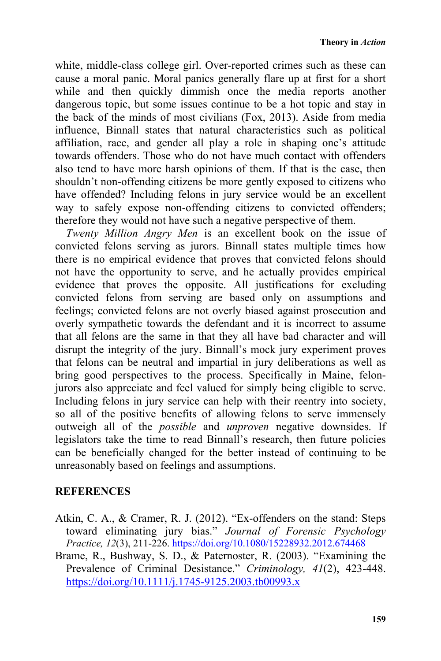white, middle-class college girl. Over-reported crimes such as these can cause a moral panic. Moral panics generally flare up at first for a short while and then quickly dimmish once the media reports another dangerous topic, but some issues continue to be a hot topic and stay in the back of the minds of most civilians (Fox, 2013). Aside from media influence, Binnall states that natural characteristics such as political affiliation, race, and gender all play a role in shaping one's attitude towards offenders. Those who do not have much contact with offenders also tend to have more harsh opinions of them. If that is the case, then shouldn't non-offending citizens be more gently exposed to citizens who have offended? Including felons in jury service would be an excellent way to safely expose non-offending citizens to convicted offenders; therefore they would not have such a negative perspective of them.

*Twenty Million Angry Men* is an excellent book on the issue of convicted felons serving as jurors. Binnall states multiple times how there is no empirical evidence that proves that convicted felons should not have the opportunity to serve, and he actually provides empirical evidence that proves the opposite. All justifications for excluding convicted felons from serving are based only on assumptions and feelings; convicted felons are not overly biased against prosecution and overly sympathetic towards the defendant and it is incorrect to assume that all felons are the same in that they all have bad character and will disrupt the integrity of the jury. Binnall's mock jury experiment proves that felons can be neutral and impartial in jury deliberations as well as bring good perspectives to the process. Specifically in Maine, felonjurors also appreciate and feel valued for simply being eligible to serve. Including felons in jury service can help with their reentry into society, so all of the positive benefits of allowing felons to serve immensely outweigh all of the *possible* and *unproven* negative downsides. If legislators take the time to read Binnall's research, then future policies can be beneficially changed for the better instead of continuing to be unreasonably based on feelings and assumptions.

## **REFERENCES**

- Atkin, C. A., & Cramer, R. J. (2012). "Ex-offenders on the stand: Steps toward eliminating jury bias." *Journal of Forensic Psychology Practice, 12*(3), 211-226. https://doi.org/10.1080/15228932.2012.674468
- Brame, R., Bushway, S. D., & Paternoster, R. (2003). "Examining the Prevalence of Criminal Desistance." *Criminology, 41*(2), 423-448. https://doi.org/10.1111/j.1745-9125.2003.tb00993.x